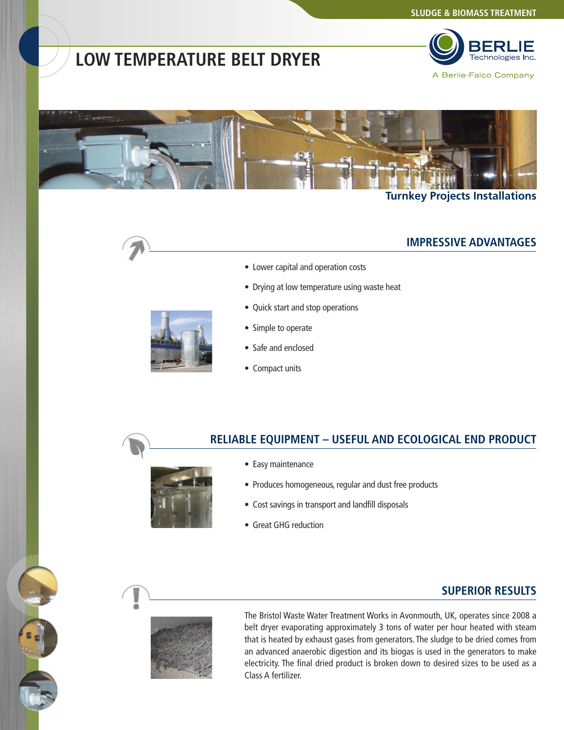# **LOW TEMPERATURE BELT DRYER**





#### **Turnkey Projects Installations**



#### **IMPRESSIVE ADVANTAGES**

- Lower capital and operation costs
- Drying at low temperature using waste heat
- Quick start and stop operations
- Simple to operate
- Safe and enclosed
- Compact units

#### **RELIABLE EQUIPMENT – USEFUL AND ECOLOGICAL END PRODUCT**



- Produces homogeneous, regular and dust free products
- Cost savings in transport and landfill disposals
- Great GHG reduction

• Easy maintenance

#### **SUPERIOR RESULTS**



The Bristol Waste Water Treatment Works in Avonmouth, UK, operates since 2008 a belt dryer evaporating approximately 3 tons of water per hour heated with steam that is heated by exhaust gases from generators. The sludge to be dried comes from an advanced anaerobic digestion and its biogas is used in the generators to make electricity. The final dried product is broken down to desired sizes to be used as a Class A fertilizer.